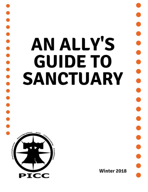# **AN ALLY'S GUIDE TO SANCTUARY**



**Winter 2018** 

. . . . . . . . . . . . . . .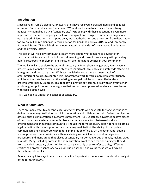## **Introduction**

Since Donald Trump's election, sanctuary cities have received increased media and political attention. But what does *sanctuary* mean? What does it mean to advocate for sanctuary policies? What makes a city a "sanctuary city"? Grappling with these questions is even more important in the face of ongoing attacks on immigrant and refugee communities. In just one year, this administration has stripped away work authorization and protection from deportation for over a million recipients of Deferred Action for Childhood Arrivals (DACA) and Temporary Protected Status (TPS), while simultaneously attacking the idea of family-based immigration and the diversity lottery.

This toolkit will help ally communities learn more about what it means to advocate for sanctuary policies and explore its historical meaning and current forms, along with providing helpful resources to implement or strengthen pro-immigrant policies in your community.

The toolkit will also explore the state of sanctuary in Pennsylvania. In general, Pennsylvania presents a mix of policies from a variety of pro-immigrant local policies to statewide attacks on immigrants and sanctuary cities. With each legislative cycle there is a new batch of anti-immigrant policies to counter. It is important to work towards more immigrant friendly policies at the state level so that the existing municipal policies can be unified under a pro-immigrant policy umbrella. This toolkit will provide ally communities with an overview of pro-immigrant policies and campaigns so that we can be empowered to elevate these issues with each election cycle.

First, we need to unpack the concept of sanctuary.

# **What is Sanctuary?**

There are many ways to conceptualize *sanctuary*. People who advocate for sanctuary policies define them as ways to limit or prohibit cooperation and collaboration with federal immigration officials such as Immigration & Customs Enforcement (ICE). Sanctuary advocates believe places of sanctuary create safer communities because there is more trust between local law enforcement and immigrant communities. Though the term sanctuary does not have an official legal definition, those in support of sanctuary may seek to limit the ability of local police to communicate and collaborate with federal immigration officials. On the other hand, people who oppose sanctuary policies view them as being in conflict with federal immigration procedures and many argue that places of sanctuary harbor dangerous criminals, making cities less safe. Many, including some in the administration, want to see federal funding withheld from so called sanctuary cities. While sanctuary is usually used to refer to a city, different entities can promote sanctuary policies including schools and counties, as we will explore throughout this toolkit.

Before delving into ways to enact sanctuary, it is important to understand the historical weight of the term *sanctuary.*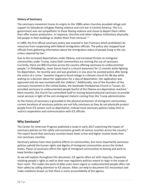## **History of Sanctuary**

The sanctuary movement traces its origins to the 1980s when churches provided refuge and support to Salvadoran refugees fleeing violence and civil war in Central America. The U.S. government was not sympathetic to those fleeing violence and chose to deport them rather than offer asylum protections. In response, churches and other religious institutions physically hid people in their buildings to shelter them from removal. $1/2$ 

In 1989, the first official sanctuary policy was enacted in San Francisco which prohibited city resources from cooperating with federal immigration officials. The policy also stopped local officials from gathering information about the immigration status of people living in the city unless required by law.<sup>3</sup>

Due to the increased deportations under Obama, and increased threats to immigrant communities under Trump, many faith communities are reviving the use of sanctuary. Currently, there are 800 churches across the country offering sanctuary to undocumented people.<sup>4</sup> In Philadelphia, Javier Garcia lived in a church basement for 11 months while fighting his deportation. He recently won and was granted a U visa since he assisted police after being the victim of a crime.<sup>5</sup> Jeanette Vizguerra found refuge in a Denver church for 86 day while waiting on a decision about her application for a stay of deportation. Her application was approved and she was reunited with her children.<sup>6</sup> Additionally, one of the founders of the sanctuary movement in the United States, the Southside Presbyterian Church in Tucson, AZ provided sanctuary to undocumented people fearful of the Obama-era deportation machine.<sup>7</sup> Most recently, the church has committed itself to moving beyond physical sanctuary to provide social services in light of the anti-immigrant rhetoric coming from the Trump administration.

As the history of sanctuary is grounded in the physical protection of immigrant communities, current iterations of sanctuary policies are not fully *sanctuary* as they do not physically protect people from ICE actions such as deportation; instead most sanctuary policies today limit or restrict cooperation and communication with ICE officials.

# **Why Sanctuary?**

The Center for American Progress published a study in early 2017 examining the impact of sanctuary policies on the safety and economic growth of various counties across the country.<sup>8</sup> The report found that sanctuary counties boast lower crime and higher income levels than non-sanctuary counties.

Sanctuary policies have clear positive effects on communities, but more importantly sanctuary policies uphold the human rights and dignity of immigrant communities across the United States. Places of sanctuary affirm the right of immigrant communities to belong and work to keep families together.

As we will explore throughout this document, ICE agents often act with impunity, frequently violating people's rights as well as their own regulatory policies meant to reign in the scope of their reach. This makes the work of allies even more urgent as undocumented people often risk their safety by calling attention to ICE abuses. Allies can help to document ICE misconduct and make violations known so that there is some accountability of the agency.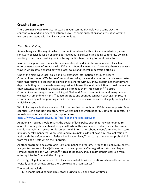# **Creating Sanctuary**

There are many ways to enact sanctuary in your community. Below are some ways to conceptualize and implement sanctuary as well as some suggestions for alternative ways to welcome and stand with immigrant communities.

## *Think About Policing*

As sanctuary and the ways in which communities interact with police are intertwined, some sanctuary policies focus on enacting positive policing strategies including community policing, working to end racial profiling, or instituting implicit bias training for local police forces.

In order to support sanctuary, cities and counties should limit the ways in which local law enforcement share information with ICE unless federally mandated. Currently, there are several ways in which data is shared between local police and federal immigration officials.

One of the main ways local police and ICE exchange information is through Secure Communities. Under ICE's Secure Communities policy, once undocumented people are arrested their fingerprints are sent to the FBI which are shared with ICE. If ICE determines that they are deportable they can issue a detainer request which asks the local jurisdiction to hold them after their sentence is finished so that ICE officials can take them into custody.<sup>9,10</sup> Secure Communities encourages racial profiling of Black and Brown communities, and many believe it violates 4th amendment rights.<sup>11</sup> Sanctuary cities and counties can push back against Secure Communities by not cooperating with ICE detainer requests as they are not legally binding like a judicial warrant.<sup>12</sup>

Within Pennsylvania there are about 32 counties that do not honor ICE detainer requests. Two counties, Berks and Northampton, have written policies which honor ICE detainer requests. For more information about your county please see

<https://www2.law.temple.edu/csj/files/a-changing-landscape.pdf>

Additionally, locales should restrict the power of local police such that they cannot inquire about the immigration status of people with whom they come into contact. Law enforcement should not maintain records or documents with information about anyone's immigration status unless federally mandated. While cities and municipalities do not have any legal obligation to assist with the enforcement of federal immigration laws,<sup>13</sup> sanctuary cities cannot prohibit ICE from making arrests within their borders.

Another program to be aware of is ICE's Criminal Alien Program. Through this policy, ICE agents are granted access to local jails in order to screen prisoners' immigration status, and begin removal proceedings if warranted.<sup>14</sup> Places of sanctuary should restrict their local jails from entering into the Criminal Alien Program.

Currently, ICE policy outlines a list of locations, called Sensitive Locations, where officers do not typically conduct arrests unless there are exigent circumstances.<sup>15</sup>

The locations include:

1. Schools including school bus stops during pick-up and drop-off times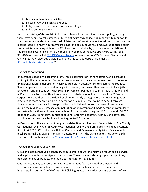- 2. Medical or healthcare facilities
- 3. Places of worship such as churches
- 4. Religious or civil ceremonies such as weddings
- 5. Public demonstrations

As of the crafting of this toolkit, ICE has not changed the Sensitive Locations policy, although there have been several instances of ICE violating its own policy. It is important to monitor its status especially under the current administration. Information about sensitive locations can be incorporated into Know Your Rights trainings, and allies should feel empowered to speak out if these policies are being violated by ICE. If you feel comfortable, you may report violations of the Sensitive Locations policy to the media, or you may contact ICE directly by calling (888) 351-4024 or via email at [ERO.INFO@ice.dhs.gov,](mailto:ERO.INFO@ice.dhs.gov) or reach out to ICE's Office of Diversity and Civil Rights - Civil Liberties Division by phone at (202) 732-0092 or via email at [ICE.Civil.Liberties@ice.dhs.gov](mailto:ICE.Civil.Liberties@ice.dhs.gov). 16

## *Think About Detention*

Immigrants, especially Black immigrants, face discrimination, criminalization, and increased policing in their communities. Too often, encounters with law enforcement result in detention. Immigrants awaiting deportation hearings are held in detention centers across the country. Some people are held in federal immigration centers, but many others are held in local jails or private prisons. ICE contracts with several private companies and counties across the U.S. and in Pennsylvania to ensure they have enough beds to hold people in their custody.<sup>17</sup> Private corporations and their stockholders benefit enormously through more punitive immigration practices as more people are held in detention.<sup>18</sup> Similarly, local counties benefit through financial contracts with ICE to keep families and individuals locked up. Several laws enacted during the mid-1990s increased criminalization of immigrants and made detention compulsory for certain infractions and mandated a detention quota which requires ICE to maintain 34,000 beds each year.<sup>19</sup> Sanctuary counties should not enter into contracts with ICE and advocates should ensure their local facilities do not agree to ICE contracts.

In Pennsylvania, there are four immigration detention facilities: York County Prison, Pike County Correctional Facility, Clinton County Correctional Facility, and Berks Family Residential Center. As of April 2017, ICE contracts with Erie, Cambria, and Delaware county jails.<sup>20</sup> One example of local groups fighting against immigrant detention in PA is the Campaign to Shut Down Berks. For more information visit<http://paimmigrant.org/campaign-to-shut-down-berks/>

## *Think About Supports & Services*

Cities and locales that value sanctuary should create or work to maintain robust social services and legal supports for immigrant communities. These may include language access policies, non-discrimination policies, and municipal immigration legal funds.

One important way to ensure immigrant communities feel supported, protected, and welcomed in a community is to ensure access to high-quality language assistance and interpretation. As per Title VI of the 1964 Civil Rights Act, any entity such as a doctor's office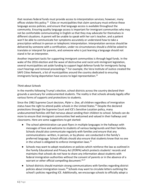that receives federal funds must provide access to interpretation services; however, many offices violate this policy.<sup>21</sup> Cities or municipalities that claim sanctuary must enforce these language access policies, and ensure that language access is available throughout the community. Ensuring quality language access is important for immigrant communities who may not be comfortable communicating in English so that they may advocate for themselves in different situations. A parent will be unable to speak with her son's teacher, and a patient won't be able to communicate her symptoms accurately or understand how to take a prescription without in-person or telephonic interpretation. Interpretation services should be delivered by someone with a certification, under no circumstances should a child be asked to translate or interpret for parents, and someone who is just learning a language should not stand in for an interpreter.

Another important tactic for supporting immigrant communities is through legal funds. In the wake of the 2016 election and the wave of destructive and racist anti-immigrant legislation, several municipalities set aside funding to support legal defense funds for immigrants facing court hearings and removal proceedings.<sup>22</sup> For example, the Vera Institute of Justice created the SAFE Cities Network, a list of municipalities around the country dedicated to ensuring immigrants facing deportation have access to legal representation.<sup>23</sup>

## *Think about Schools*

In the months following Trump's election, school districts across the country declared their grounds a sanctuary for undocumented students. The reality is that schools already legally offer various forms of supports and protections to students.

Since the 1982 Supreme Court decision, *Plyler v. Doe*, all children regardless of immigration status have the right to attend public schools in the United States.<sup>24</sup> Despite the declared protections through the Supreme Court and ICE's Sensitive Location policy, many undocumented families still feel nervous about sending their children to school. Schools can do more to ensure that immigrant communities feel welcomed and valued in their hallways and classrooms. Here are some suggestions to get started:

- The school administration can post flyers in multiple languages in the hallways with messages of love and welcome to students of various backgrounds and their families. Schools should also communicate regularly with families and ensure that any communications--written, in person, or by phone--are conducted in the family's preferred language. School officials should also ensure that students know that no one in the school is obligated to enforce immigration laws. $25$
- Schools may want to adopt resolutions or policies which reinforce the law as outlined in the Family Educational and Privacy Act (FERPA) which protects students' records and maintains that schools do not have to share any information about students with federal immigration authorities without the consent of parents or in the absence of a warrant or other official compelling document.<sup>26,27</sup>
- School districts should maintain strong communications with families regarding district policies about immigration issues.<sup>28</sup> Schools may want to circulate letters outlining the school's policies regarding ICE. Additionally, we encourage schools to officially adopt a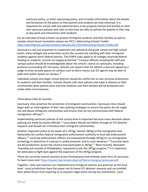sanctuary policy, or other welcoming policy, and circulate information about the details and limitations of the policy so that parents and students are fully informed. It is important for school staff and administrators to be properly trained and briefed on their own sanctuary policies and rules so that they are able to uphold the policies in their day to day work and interactions with students.

For an overview of how schools can protect immigrant students and their families as well as sample school board resolutions please see PICC's Welcoming Schools Toolkit: <http://paimmigrant.org/wp-content/uploads/2017/05/Welcoming-School-Toolkit.pdf>

Sanctuary is not just important to implement and uphold at the grade school and high school levels, many colleges and universities across the country are standing with their immigrant students against harsh federal policies. The FERPA rules apply to all colleges receiving federal funding so students' records are largely protected.<sup>29</sup> Campus officials including RA staff and campus police should be knowledgeable about the school's stance on sanctuary, including protocol surrounding ICE intrusions. Schools can require that ICE obtains a warrant signed by a judge to enter private spaces on campus such as dorm rooms, but ICE agents may be able to walk onto public spaces on campus.<sup>30</sup>

Individual schools and larger school districts should be careful not to over-promise protections to students and their families. Schools should craft clear policies and make it obvious to their communities what policies exist and how students and their families will be protected and under what circumstances.

## *Think about Cities & Counties*

Sanctuary cities prioritize the protection of immigrant communities. Sanctuary cities should begin with an interrogation of their own policing strategies to ensure the police do not single out and abuse immigrant communities and ensure they do not communicate with federal immigration officials.<sup>31</sup>.

Implementing sanctuary policies at the county-level is important because many decisions about policing are made by county officials.<sup>32</sup> Local police should not follow through on ICE detainer requests and should not criminalize their immigrant communities.

Another important policy to be aware of is 287(g)*.* Section 287(g) of the Immigration and Nationality Act confers federal immigration enforcement authority to local law enforcement officers.<sup>33</sup> Local law enforcement officers are empowered through 287(g) to run immigration screenings to determine if a person is undocumented, and to issue detainers.<sup>34</sup> Currently there are 60 jurisdictions across the country that participate in 287(g).<sup>35</sup> Most recently, Bensalem Township just outside of Philadelphia, requested to join the 287(g) program.<sup>36</sup> It is important for advocates to fight back against the expansion of the 287(g) program.

There are currently several counties across Pennsylvania that embody some form of sanctuary. To learn more visit: <https://www2.law.temple.edu/csj/files/a-changing-landscape.pdf>

Together, cities and counties can implement pro-immigrant policies and practices at the local level. Local jurisdictions have the power not to honor ICE detainer requests and can prohibit their police forces from inquiring as to anyone's legal status during any interactions. Local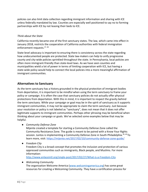policies can also limit data collection regarding immigrant information and sharing with ICE unless federally mandated by law. Counties are especially well positioned to say no to forming partnerships with ICE by not leasing their beds to ICE.

## *Think about the State*

California recently became one of the first sanctuary states. The law, which came into effect in January 2018, restricts the cooperation of California authorities with federal immigration enforcement requests.37, <sup>38</sup>

State-level advocacy is important to ensuring there is consistency across the state regarding how undocumented people are protected. State law-makers can help to unify progressive county and city-wide policies sprinkled throughout the state. In Pennsylvania, local policies are often more immigrant-friendly than state-level laws. As we have seen counties and municipalities wield a lot of power in terms of limiting cooperation with ICE, but having a state-wide policy would help to connect the local policies into a more meaningful affirmation of immigrant communities.

# **Alternatives to Sanctuary**

As the term sanctuary has a history grounded in the physical protection of immigrant bodies from deportation, it is important to be mindful when using the term *sanctuary* to frame your policy or campaign. It is often the case that sanctuary policies do not actually offer physical protections from deportation. With this in mind, it is important to respect the gravity behind the term *sanctuary*. While your campaign or goal may be in the spirit of sanctuary as it supports immigrant communities, it may not be appropriate to claim the term sanctuary. Just because your resolution or policy is not labeled as "sanctuary", does not mean that it does not offer legitimate supports to immigrant communities. Perhaps other phrasing may be beneficial when thinking about your campaign or goals. We've selected some examples below that may be helpful.

*● Community Defense Zone*

Mijente created a template for starting a Community Defense Zone called the Community Resistance Zone. The guide is meant to be paired with a Know Your Rights session. Juntos is implementing a Community Defense Zone in South Philadelphia.<sup>39, 40</sup> To learn more, visit: <https://mijente.net/2017/02/10/community-defense-zone-guide/>

*● Freedom City* Freedom City is a broad concept that promotes the inclusion and protection of various oppressed communities such as immigrants, Black people, and Muslims. For more information:

<http://www.enlaceintl.org/single-post/2017/02/27/What-is-a-Freedom-City>

*● Welcoming Community*

The organization Welcome America ([www.welcomingamerica.org](http://www.welcomingamerica.org/)) has some great resources for creating a Welcoming Community. They have a certification process for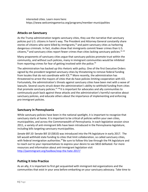interested cities. Learn more here: <https://www.welcomingamerica.org/programs/member-municipalities>

# **Attacks on Sanctuary**

As the Trump administration targets sanctuary cities, they use the narrative that sanctuary policies put U.S. citizens in harm's way. The President and Attorney General constantly share stories of citizens who were killed by immigrants, $41$  and paint sanctuary cities as harboring dangerous criminals. In fact, studies show that immigrants commit fewer crimes than U.S. citizens, $42$  and sanctuary cities report fewer crimes than cities lacking sanctuary policies.  $43, 44$ 

Many proponents of sanctuary cities argue that sanctuary policies promote trust within the community, and without such policies, many in immigrant communities would be inhibited from reporting crimes for fear of getting involved with the police.<sup>45</sup>

The administration has backed up this rhetoric with policy. One of the first Executive Orders signed by the president targeted sanctuary cities by threatening to remove federal funding from locales that do not coordinate with ICE.<sup>46</sup> More recently, the administration has threatened to arrest the mayors of cities that do have policies limiting cooperation with ICE. Fortunately, the administration's threats against sanctuary cities have been met with a wave of lawsuits. Several courts struck down the administration's ability to withhold funding from cities that promote sanctuary policies.<sup>47, 48</sup> It is important for advocates and ally communities to continuously push back against these attacks and the administration's harmful narrative about sanctuary policies, and educate others about the importance of implementing and enforcing pro-immigrant policies.

# **Sanctuary in Pennsylvania**

While sanctuary policies have been in the national spotlight, it is important to recognize that sanctuary starts at home. It is important to be critical of policies within your own cities, municipalities, and across the Commonwealth of Pennsylvania. In each legislative session since 2011, a variety of anti-immigrant bills have been introduced in the Pennsylvania legislature, including bills targeting sanctuary municipalities.

*Senate Bill 10:* Senate Bill 10 (SB10) was introduced into the PA legislature in early 2017. The bill would withhold state funding to cities that limit collaboration, so called sanctuary cities, with federal immigration authorities.<sup>49</sup> Be sure to follow this law through the PA legislature and to reach out to your representatives to express your desire to see SB10 defeated. For more resources and information about anti-immigrant legislation visit <http://paimmigrant.org/toolbox/stop-the-hate-2017/>

# **Putting It Into Practice**

As an ally, it is important to first get acquainted with immigrant-led organizations and the communities that exist in your area before embarking on your sanctuary advocacy. Take time to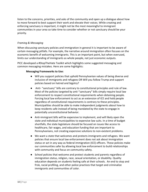listen to the concerns, priorities, and asks of the community and open up a dialogue about how to move forward to best support their work and elevate their voices. While creating and enforcing sanctuary is important, it might not be the most meaningful to immigrant communities in your area so take time to consider whether or not sanctuary should be your priority.

## *Framing & Messaging*

When discussing sanctuary policies and immigration in general it is important to be aware of certain messaging pitfalls. For example, the narrative around immigration often focuses on the economic benefit of welcoming immigrants. This is an important point, but when overused, limits our understanding of immigrants as whole people, not just economic outputs.

PICC developed a #StopTheHate Toolkit which highlights some suggested messaging and common messaging mistakes. Here are some highlights:

### **Messaging Frameworks to Use:**

- Will you support policies that uphold Pennsylvanian values of being diverse and inclusive of immigrants and refugees OR Will you follow Trump and support policies based on hatred and bigotry?
- Anti- "sanctuary" bills are contrary to constitutional principles and rule of law. Most of the policies targeted by anti-"sanctuary" bills simply require local law enforcement to respect constitutional requirements when detaining people. Forcing local law enforcement to act as an extension of ICE and hold people regardless of constitutional requirements is contrary to these principles. Municipalities should be able to make independent judgments about how to keep residents safe instead of being mandated by the state to engage in potentially unconstitutional behavior.
- Anti-immigrant bills will be expensive to implement, and will likely open the state and individual municipalities to expensive law suits. In a time of budget shortfalls, the state legislature should be focused on issues like access to healthcare, fair wages, and education funding that are important to Pennsylvanians, not creating expensive solutions to non-existent problems.
- We want a state that welcomes and protects immigrants and refugees. We want policies that ensure local law enforcement does not ask about immigration status or act in any way as federal immigration (ICE) officers. These policies make our communities safer by allowing local law enforcement to build relationships with community and focus on community safety.
- School policies that welcome and protect students and parents regardless of immigration status, religion, race, sexual orientation, or disability. Quality education depends on students feeling safe at their schools. An end to stop and frisk, racial profiling, and other police practices that target and criminalize immigrants and communities of color.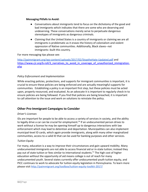#### **Messaging Pitfalls to Avoid:**

- Conversations about immigrants tend to focus on the dichotomy of the good and bad immigrants which indicates that there are some who are deserving and undeserving. These conversations merely serve to perpetuate dangerous stereotypes of immigrants as dangerous criminals.
- Claiming that the United States is a country of immigrants or claiming we are all immigrants is problematic as it erases the history of colonialism and violent oppression of Native communities. Additionally, Black slaves--not immigrants--built this country.

## For more messaging tips please see:

<http://paimmigrant.org/wp-content/uploads/2017/02/StoptheHate-Updated.pdf>and https://www.cjr.org/b-roll/3 narratives to avoid in coverage of unauthorized immigration. [php](https://www.cjr.org/b-roll/3_narratives_to_avoid_in_coverage_of_unauthorized_immigration.php)

## *Policy Enforcement and Implementation*

While enacting policies, protections, and supports for immigrant communities is important, it is crucial to ensure these policies are being enforced and are actually meaningful supports for communities. Establishing a policy is an important first step, but these policies must be acted upon, properly resourced, and evaluated. As an advocate it is important to regularly check-in to ensure policies are being followed. If you find that policies are being breached, it is important to call attention to the issue and work on solutions to reinstate the policy.

# **Other Pro-Immigrant Campaigns to Consider**

## *Driver's Licenses*

IDs are important for people to be able to access a variety of services in society, and the ability to legally drive a car can be crucial for employment.<sup>50</sup> If an undocumented person drives to work without a license he may be opening himself up to dangerous interactions with law enforcement which may lead to detention and deportation. Municipalities can also implement municipal-level ID cards, which again provide immigrants, along with many other marginalized communities, access to a valid ID that can be used for banking purposes and other services.

#### *Tuition Equity*

For many, education is a way to improve their circumstances and gain upward mobility. Many undocumented immigrants are not able to access financial aid or in-state tuition; instead they pay out of state tuition or fees similar to international students.<sup>51</sup> The high cost of higher education without the opportunity of aid means college is out of reach for many undocumented youth. Several states currently offer undocumented youth tuition equity, and PICC continues to work to advocate for tuition equity legislation in Pennsylvania. To learn more please visit<http://paimmigrant.org/toolbox/tuition-equity-toolkit-2017/>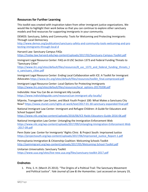# **Resources for Further Learning**

This toolkit was created with inspiration taken from other immigrant justice organizations. We would like to highlight their work below so that you can continue to explore other sanctuary models and find resources for supporting immigrants in your community.

DEMOS: Sanctuary, Safety and Community: Tools for Welcoming and Protecting Immigrants Through Local Democracy

[http://www.demos.org/publication/sanctuary-safety-and-community-tools-welcoming-and-pro](http://www.demos.org/publication/sanctuary-safety-and-community-tools-welcoming-and-protecting-immigrants-through-local-d) [tecting-immigrants-through-local-d](http://www.demos.org/publication/sanctuary-safety-and-community-tools-welcoming-and-protecting-immigrants-through-local-d)

Harvard Law: Sanctuary Campus FAQs <https://today.law.harvard.edu/wp-content/uploads/2017/02/Sanctuary-Campus-Toolkit.pdf>

Immigrant Legal Resource Center: FAQ on 8 USC Section 1373 and Federal Funding Threats to "Sanctuary Cities"

https://www.ilrc.org/sites/default/files/resources/8 usc\_1373\_and\_federal\_funding\_threats\_t\_ [o\\_sanctuary\\_cities.pdf](https://www.ilrc.org/sites/default/files/resources/8_usc_1373_and_federal_funding_threats_to_sanctuary_cities.pdf)

Immigrant Legal Resource Center: Ending Local Collaboration with ICE: A Toolkit for Immigrant Advocates [https://www.ilrc.org/sites/default/files/resources/toolkit\\_final.compressed.pdf](https://www.ilrc.org/sites/default/files/resources/toolkit_final.compressed.pdf)

Immigrant Legal Resource Center: Local Options for Protecting Immigrants [https://www.ilrc.org/sites/default/files/resources/local\\_options-20170208.pdf](https://www.ilrc.org/sites/default/files/resources/local_options-20170208.pdf)

Indivisible: How You Can Be an Immigrant Ally Locally <https://www.indivisibleguide.com/resource/can-immigrant-ally-locally/>

Mijente, Transgender Law Center, and Black Youth Project 100: What Makes a Sanctuary City Now? <https://www.ctunet.com/rights-at-work/text/2017-01-30-sanctuary-expanded-final.pdf>

National Immigrant Law Center: Immigrant and Refugee Children: A Guide for Educators and School Support Staff

<https://www.nilc.org/wp-content/uploads/2016/06/ICE-Raids-Educators-Guide-2016-06.pdf>

National Immigration Law Center: Untangling the Immigration Enforcement Web [https://www.nilc.org/wp-content/uploads/2017/09/Untangling-Immigration-Enforcement-Web](https://www.nilc.org/wp-content/uploads/2017/09/Untangling-Immigration-Enforcement-Web-2017-09.pdf) [-2017-09.pdf](https://www.nilc.org/wp-content/uploads/2017/09/Untangling-Immigration-Enforcement-Web-2017-09.pdf)

Penn State Law: Center for Immigrants' Rights Clinic & Project South: Imprisoned Justice [https://projectsouth.org/wp-content/uploads/2017/06/Imprisoned\\_Justice\\_Report-1.pdf](https://projectsouth.org/wp-content/uploads/2017/06/Imprisoned_Justice_Report-1.pdf)

Pennsylvania Immigration & Citizenship Coalition: Welcoming Schools Toolkit <http://paimmigrant.org/wp-content/uploads/2017/05/Welcoming-School-Toolkit.pdf>

Unitarian Universalists: Sanctuary Toolkit <https://www.uua.org/sites/live-new.uua.org/files/sanctuary-toolkit-2017.pdf>

# **Endnotes**

1. Pirie, S. H. (March 25 2013). "The Origins of a Political Trail: The Sanctuary Movement and Political Justice". *Yale Journal of Law & the Humanities*. Last accessed on January 19,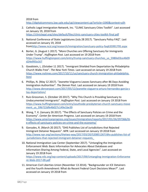2018 from

<http://digitalcommons.law.yale.edu/cgi/viewcontent.cgi?article=1040&context=yjlh>

- 2. Catholic Legal Immigration Network, Inc. "CLINIC Sanctuary Cities Toolkit". Last accessed on January 19, 2018 from <https://cliniclegal.org/sites/default/files/clinic-sanctuary-cities-toolkit-final.pdf>
- 3. National Conference of State Legislatures (July 28 2017). "Sanctuary Policy FAQ". Last accessed on January 19, 2018 from<http://www.ncsl.org/research/immigration/sanctuary-policy-faq635991795.aspx>
- 4. Borter, G. (August 1 2017). "More Churches are Offering Sanctuary for Immigrants Under Trump". *Huffington Post.* Last accessed on 19 2018 from [https://www.huffingtonpost.com/entry/trump-sanctuary-churches\\_us\\_5980e03ce4b09](https://www.huffingtonpost.com/entry/trump-sanctuary-churches_us_5980e03ce4b09d24e993a167) [d24e993a167](https://www.huffingtonpost.com/entry/trump-sanctuary-churches_us_5980e03ce4b09d24e993a167)
- 5. Goodstein, L. (October 11 2017). "Immigrant Shielded from Deportation by Philadelphia Church Walks Free". *The New York Times*. Last accessed on January 19 2018 from [https://www.nytimes.com/2017/10/11/us/sanctuary-church-immigration-philadelphia.](https://www.nytimes.com/2017/10/11/us/sanctuary-church-immigration-philadelphia.html) [html](https://www.nytimes.com/2017/10/11/us/sanctuary-church-immigration-philadelphia.html)
- 6. Phillips, N. (May 12 2017). "Jeanette Vizguerra Leaves Sanctuary after 86 Days Avoiding Immigration Authorities". *The Denver Post*. Last accessed on January 19 2018 from [http://www.denverpost.com/2017/05/12/jeanette-vizguerra-arturo-hernandez-garcia-s](http://www.denverpost.com/2017/05/12/jeanette-vizguerra-arturo-hernandez-garcia-stay-deportation/) [tay-deportation/](http://www.denverpost.com/2017/05/12/jeanette-vizguerra-arturo-hernandez-garcia-stay-deportation/)
- 7. Ruiz-Grossman, S. (October 20 2017). "Why This Church is Providing Sanctuary to Undocumented Immigrants". *Huffington Post.* Last accessed on January 19 2018 from [https://www.huffingtonpost.com/entry/southside-presbyterian-church-sanctuary-move](https://www.huffingtonpost.com/entry/southside-presbyterian-church-sanctuary-movement_us_59b722dfe4b027c149e1be39) ment us 59b722dfe4b027c149e1be39
- 8. Wong, T. K. (January 26 2017). "The Effects of Sanctuary Policies on Crime and the Economy". *Center for American Progress*. Last accessed on January 19 2018 from [https://www.americanprogress.org/issues/immigration/reports/2017/01/26/297366/th](https://www.americanprogress.org/issues/immigration/reports/2017/01/26/297366/the-effects-of-sanctuary-policies-on-crime-and-the-economy/) [e-effects-of-sanctuary-policies-on-crime-and-the-economy/](https://www.americanprogress.org/issues/immigration/reports/2017/01/26/297366/the-effects-of-sanctuary-policies-on-crime-and-the-economy/)
- 9. Gonzales, R. (March 20 2017). "DHS Publishes List of Jurisdictions that Rejected Immigrant Detainer Requests". *NPR*. Last accessed on January 19 2018 from [http://www.npr.org/sections/thetwo-way/2017/03/20/520851267/dhs-publishes-list-of](http://www.npr.org/sections/thetwo-way/2017/03/20/520851267/dhs-publishes-list-of-jurisdictions-that-rejected-immigrant-detainer-requests_) [-jurisdictions-that-rejected-immigrant-detainer-requests\\_](http://www.npr.org/sections/thetwo-way/2017/03/20/520851267/dhs-publishes-list-of-jurisdictions-that-rejected-immigrant-detainer-requests_)
- 10. National Immigration Law Center (September 2017). "Untangling the Immigration Enforcement Web: Basic Information for Advocates About Databases and Information-Sharing Among Federal, State, and Local Agencies". Last accessed on January 19 2018 from [https://www.nilc.org/wp-content/uploads/2017/09/Untangling-Immigration-Enforceme](https://www.nilc.org/wp-content/uploads/2017/09/Untangling-Immigration-Enforcement-Web-2017-09.pdf) [nt-Web-2017-09.pdf](https://www.nilc.org/wp-content/uploads/2017/09/Untangling-Immigration-Enforcement-Web-2017-09.pdf)
- 11. American Civil Liberties Union (November 13 2014). "Backgrounder on ICE Detainers and the Fourth Amendment: What do Recent Federal Court Decisions Mean?". Last accessed on January 19 2018 from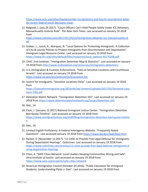[https://www.aclu.org/other/backgrounder-ice-detainers-and-fourth-amendment-what](https://www.aclu.org/other/backgrounder-ice-detainers-and-fourth-amendment-what-do-recent-federal-court-decisions-mean)[do-recent-federal-court-decisions-mean](https://www.aclu.org/other/backgrounder-ice-detainers-and-fourth-amendment-what-do-recent-federal-court-decisions-mean)

12. Bidgood, J. (July 24 2017). "Court Officers Can't Hold People Solely Under ICE Detainers, Massachusetts Justices Rule". *The New York Times*. Last accessed on January 19 2018 from

[https://www.nytimes.com/2017/07/24/us/immigration-detainer-ice-massachusetts.ht](https://www.nytimes.com/2017/07/24/us/immigration-detainer-ice-massachusetts.html) [ml](https://www.nytimes.com/2017/07/24/us/immigration-detainer-ice-massachusetts.html)

- 13. Graber, L., Junck, A., Marquez, N. "Local Options for Protecting Immigrants: A Collection of City & county Policies to Protect Immigrants from Discrimination and Deportation". *Immigrant Legal Resource Center.* Last accessed on January 19 2018 from [https://www.ilrc.org/sites/default/files/resources/local\\_options-20170208.pdf](https://www.ilrc.org/sites/default/files/resources/local_options-20170208.pdf)
- 14. CIVIC: End Isolation. "Immigration Detention Map & Statistics". Last accessed on January 19 2018 from<http://www.endisolation.org/resources/immigration-detention/>
- 15. U.S. Immigration & Customs Enforcement. "FAQ on Sensitive Locations and Courthouse Arrests". Last accessed on January 19 2018 from <https://www.ice.gov/ero/enforcement/sensitive-loc>
- 16. Justice for Immigrants. "Sensitive Locations FAQs". Last accessed on January 19 2018 from [https://justiceforimmigrants.org/2016site/wp-content/uploads/2017/01/Sensitive-Loca](https://justiceforimmigrants.org/2016site/wp-content/uploads/2017/01/Sensitive-Locations-FAQ.pdf) [tions-FAQ.pdf](https://justiceforimmigrants.org/2016site/wp-content/uploads/2017/01/Sensitive-Locations-FAQ.pdf)
- 17. Detention Watch Network. "Immigration Detention 101". Last accessed on January 19 2018 from<https://www.detentionwatchnetwork.org/issues/detention-101>
- 18. Ibid., 14.
- 19. Chan, J. (January 13 2017).National Immigrant Justice Center. "Immigration Detention Bed Quota Timeline". Last accessed on January 19 2018 from [https://www.immigrantjustice.org/staff/blog/immigration-detention-bed-quota-timelin](https://www.immigrantjustice.org/staff/blog/immigration-detention-bed-quota-timeline) [e](https://www.immigrantjustice.org/staff/blog/immigration-detention-bed-quota-timeline)
- 20. Ibid., 14.
- 21. Limited English Proficiency: A Federal Interagency Website. "Frequently Asked Questions". Last accessed January 19 2018 from <https://www.lep.gov/faqs/faqs.html>
- 22. Rankin, K. (November 13 2017). "11 Cities to Provide Free Legal Defense for Immigrants During Deportation Hearings". *ColorLines*. Last accessed on January 19 2018 from [https://www.colorlines.com/articles/11-cities-provide-free-legal-defense-immigrants-d](https://www.colorlines.com/articles/11-cities-provide-free-legal-defense-immigrants-during-deportation-hearings) [uring-deportation-hearings](https://www.colorlines.com/articles/11-cities-provide-free-legal-defense-immigrants-during-deportation-hearings)
- 23. Chen, A. "SAFE Cities Network: Local Leaders Keeping Communities Strong and Safe". *Vera Institute of Justice*. Last accessed on January 19 2018 from <https://www.vera.org/projects/safe-cities-network>
- 24. American Immigration Council (October 24 2016). "Public Education for Immigrant Students: Understanding Plyler v. Doe". Last accessed on January 19 2018 from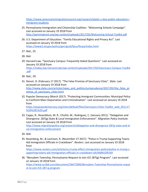[https://www.americanimmigrationcouncil.org/research/plyler-v-doe-public-education-i](https://www.americanimmigrationcouncil.org/research/plyler-v-doe-public-education-immigrant-students) [mmigrant-students](https://www.americanimmigrationcouncil.org/research/plyler-v-doe-public-education-immigrant-students)

- 25. Pennsylvania Immigration and Citizenship Coalition. "Welcoming Schools Campaign". Last accessed on January 19 2018 from <http://paimmigrant.org/wp-content/uploads/2017/05/Welcoming-School-Toolkit.pdf>
- 26. U.S. Department of Education. "Family Educational Rights and Privacy Act". Last accessed on January 19 2018 from <https://www2.ed.gov/policy/gen/guid/fpco/ferpa/index.html>
- 27. Ibid., 25.
- 28. Ibid.
- 29. Harvard Law. "Sanctuary Campus: Frequently Asked Questions". Last accessed on January 19 2018 from [https://today.law.harvard.edu/wp-content/uploads/2017/02/Sanctuary-Campus-Toolkit](https://today.law.harvard.edu/wp-content/uploads/2017/02/Sanctuary-Campus-Toolkit.pdf) [.pdf](https://today.law.harvard.edu/wp-content/uploads/2017/02/Sanctuary-Campus-Toolkit.pdf)
- 30. Ibid., 29.
- 31. Denvir, D. (February 17 2017). "The False Promise of Sanctuary Cities". *Slate*. Last accessed on January 19 2018 from [http://www.slate.com/articles/news\\_and\\_politics/jurisprudence/2017/02/the\\_false\\_pr](http://www.slate.com/articles/news_and_politics/jurisprudence/2017/02/the_false_promise_of_sanctuary_cities.html) [omise\\_of\\_sanctuary\\_cities.html](http://www.slate.com/articles/news_and_politics/jurisprudence/2017/02/the_false_promise_of_sanctuary_cities.html)
- 32. Popular Democracy (March 2017). "Protecting Immigrant Communities: Municipal Policy to Confront Mass Deportation and Criminalization". Last accessed on January 19 2018 from

[https://populardemocracy.org/sites/default/files/Sanctuary-Cities-Toolkit\\_web\\_051117](https://populardemocracy.org/sites/default/files/Sanctuary-Cities-Toolkit_web_051117%20%281%29.pdf) [%20%281%29.pdf](https://populardemocracy.org/sites/default/files/Sanctuary-Cities-Toolkit_web_051117%20%281%29.pdf)

- 33. Capps, R., Rosenblum, M. R., Chishti, M., Rodriguez, C. (January 2011). "Delegation and Divergence: 287(g) State & Local Immigration Enforcement". *Migration Policy Institute.* Last accessed on January 19 2018 from [http://www.migrationpolicy.org/research/delegation-and-divergence-287g-state-and-lo](http://www.migrationpolicy.org/research/delegation-and-divergence-287g-state-and-local-immigration-enforcement) [cal-immigration-enforcement](http://www.migrationpolicy.org/research/delegation-and-divergence-287g-state-and-local-immigration-enforcement)
- 34. Ibid.
- 35. Rosenberg, M., & Levinson, R. (November 27 2017). "Police in Trump-Supporting Towns Aid Immigration Officials in Crackdown". *Reuters*. Last accessed on January 19 2018 from

[https://www.reuters.com/article/us-trump-effect-immigration-police/police-in-trump-s](https://www.reuters.com/article/us-trump-effect-immigration-police/police-in-trump-supporting-towns-aid-immigration-officials-in-crackdown-idUSKBN1DR169) [upporting-towns-aid-immigration-officials-in-crackdown-idUSKBN1DR169](https://www.reuters.com/article/us-trump-effect-immigration-police/police-in-trump-supporting-towns-aid-immigration-officials-in-crackdown-idUSKBN1DR169)

36. "Bensalem Township, Pennsylvania-Request to Join ICE 287(g) Program". Last accessed on January 19 2018 from

[https://www.scribd.com/document/26672906/Bensalem-Township-Pennsylvania-reque](https://www.scribd.com/document/26672906/Bensalem-Township-Pennsylvania-request-to-join-ICE-287-g-program) [st-to-join-ICE-287-g-program](https://www.scribd.com/document/26672906/Bensalem-Township-Pennsylvania-request-to-join-ICE-287-g-program)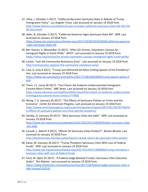- 37. Ulloa, J. (October 5 2017). "California Becomes Sanctuary State in Rebuke of Trump Immigration Policy". *Los Angeles Times.* Last accessed on January 19 2018 from [http://www.latimes.com/politics/la-pol-ca-brown-california-sanctuary-state-bill-201710](http://www.latimes.com/politics/la-pol-ca-brown-california-sanctuary-state-bill-20171005-story.html) [05-story.html](http://www.latimes.com/politics/la-pol-ca-brown-california-sanctuary-state-bill-20171005-story.html)
- 38. Adler, B. (October 5 2017). "California Governor Signs Sanctuary State Bill". *NPR*. Last accessed on January 19 2018 from [https://www.npr.org/sections/thetwo-way/2017/10/05/555920658/california-governor](https://www.npr.org/sections/thetwo-way/2017/10/05/555920658/california-governor-signs-sanctuary-state-bill) [-signs-sanctuary-state-bill](https://www.npr.org/sections/thetwo-way/2017/10/05/555920658/california-governor-signs-sanctuary-state-bill)
- 39. Ben Yaacov, S. (November 13 2017). "After ICE Arrests, Volunteers Canvass for Immigrant Rights in South Philly". *WHYY*. Last accessed on January 19 2018 from <https://whyy.org/articles/ice-arrests-volunteers-canvass-immigrant-rights-south-philly/>
- 40. Juntos. "Join the Community Resistance Zone". Last accessed on January 19 2018 from <http://vamosjuntos.org/join-the-community-resistance-zone/>
- 41. Lind, D. (July 8 2017). "Trump Just Delivered the Most Chilling Speech of His Presidency". *Vox*. Last accessed on January 19 2018 from [https://www.vox.com/policy-and-politics/2017/7/28/16059486/trump-speech-police-h](https://www.vox.com/policy-and-politics/2017/7/28/16059486/trump-speech-police-hand) [and](https://www.vox.com/policy-and-politics/2017/7/28/16059486/trump-speech-police-hand)
- 42. Timm, J.C. (June 28 2017). "Fact Check: No Evidence Undocumented Immigrants Commit More Crimes". *NBC News*. Last accessed on January 19 2018 from [https://www.nbcnews.com/politics/white-house/fact-check-no-evidence-undocumente](https://www.nbcnews.com/politics/white-house/fact-check-no-evidence-undocumented-immigrants-commit-more-crimes-n777856) [d-immigrants-commit-more-crimes-n777856](https://www.nbcnews.com/politics/white-house/fact-check-no-evidence-undocumented-immigrants-commit-more-crimes-n777856)
- 43. Wong, T. K. (January 26 2017). "The Effects of Sanctuary Policies on Crime and the Economy". *Center for American Progress*. Last accessed on January 19 2018 from [https://www.americanprogress.org/issues/immigration/reports/2017/01/26/297366/th](https://www.americanprogress.org/issues/immigration/reports/2017/01/26/297366/the-effects-of-sanctuary-policies-on-crime-and-the-economy/) [e-effects-of-sanctuary-policies-on-crime-and-the-economy/](https://www.americanprogress.org/issues/immigration/reports/2017/01/26/297366/the-effects-of-sanctuary-policies-on-crime-and-the-economy/)
- 44. Demby, G. (January 29 2017). "Why Sanctuary Cities Are Safer". *NPR*. Last accessed on January 19 2018 from [http://www.npr.org/sections/codeswitch/2017/01/29/512002076/why-sanctuary-cities](http://www.npr.org/sections/codeswitch/2017/01/29/512002076/why-sanctuary-cities-are-safer) [-are-safer](http://www.npr.org/sections/codeswitch/2017/01/29/512002076/why-sanctuary-cities-are-safer)
- 45. Carasik, L. (March 9 2017). "Whom Do Sanctuary Cities Protect?". *Boston Review.* Last accessed on January 19 2018 from <http://bostonreview.net/law-justice/lauren-carasik-whom-do-sanctuary-cities-protect>
- 46. Kaste, M. (January 26 2017). "Trump Threatens Sanctuary Cities With Loss of Federal Funds". *NPR*. Last accessed on January 19 2018 from [http://www.npr.org/sections/thetwo-way/2017/01/26/511899896/trumps-threatens-s](http://www.npr.org/sections/thetwo-way/2017/01/26/511899896/trumps-threatens-sanctuary-cities-with-loss-of-federal-funds) [anctuary-cities-with-loss-of-federal-funds](http://www.npr.org/sections/thetwo-way/2017/01/26/511899896/trumps-threatens-sanctuary-cities-with-loss-of-federal-funds)
- 47. Ford, M. (April 25 2017). "A Federal Judge Blocked Trump's Sanctuary Cities Executive Order". *The Atlantic*. Last accessed on January 19 2018 from [https://www.theatlantic.com/politics/archive/2017/04/federal-judge-sanctuary-cities-o](https://www.theatlantic.com/politics/archive/2017/04/federal-judge-sanctuary-cities-order-trump/524316/) [rder-trump/524316/](https://www.theatlantic.com/politics/archive/2017/04/federal-judge-sanctuary-cities-order-trump/524316/)